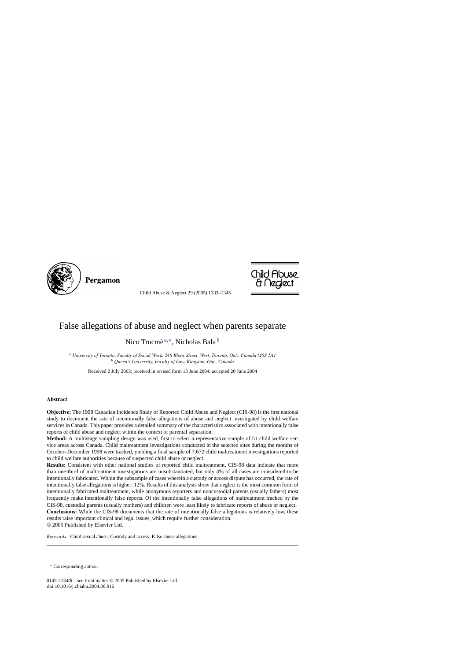

Pergamon

Child Abuse & Neglect 29 (2005) 1333–1345



# False allegations of abuse and neglect when parents separate

Nico Trocmé<sup>a,∗</sup>, Nicholas Bala<sup>b</sup>

<sup>a</sup> *University of Toronto, Faculty of Social Work, 246 Bloor Street, West, Toronto, Ont., Canada M5S 1A1* <sup>b</sup> *Queen's University, Faculty of Law, Kingston, Ont., Canada*

Received 2 July 2003; received in revised form 13 June 2004; accepted 20 June 2004

### **Abstract**

**Objective:** The 1998 Canadian Incidence Study of Reported Child Abuse and Neglect (CIS-98) is the first national study to document the rate of intentionally false allegations of abuse and neglect investigated by child welfare services in Canada. This paper provides a detailed summary of the characteristics associated with intentionally false reports of child abuse and neglect within the context of parental separation.

**Method:** A multistage sampling design was used, first to select a representative sample of 51 child welfare service areas across Canada. Child maltreatment investigations conducted in the selected sites during the months of October–December 1998 were tracked, yielding a final sample of 7,672 child maltreatment investigations reported to child welfare authorities because of suspected child abuse or neglect.

**Results:** Consistent with other national studies of reported child maltreatment, CIS-98 data indicate that more than one-third of maltreatment investigations are unsubstantiated, but only 4% of all cases are considered to be intentionally fabricated. Within the subsample of cases wherein a custody or access dispute has occurred, the rate of intentionally false allegations is higher: 12%. Results of this analysis show that neglect is the most common form of intentionally fabricated maltreatment, while anonymous reporters and noncustodial parents (usually fathers) most frequently make intentionally false reports. Of the intentionally false allegations of maltreatment tracked by the CIS-98, custodial parents (usually mothers) and children were least likely to fabricate reports of abuse or neglect. **Conclusions:** While the CIS-98 documents that the rate of intentionally false allegations is relatively low, these results raise important clinical and legal issues, which require further consideration. © 2005 Published by Elsevier Ltd.

*Keywords:* Child sexual abuse; Custody and access; False abuse allegations

<sup>∗</sup> Corresponding author.

0145-2134/\$ – see front matter © 2005 Published by Elsevier Ltd. doi:10.1016/j.chiabu.2004.06.016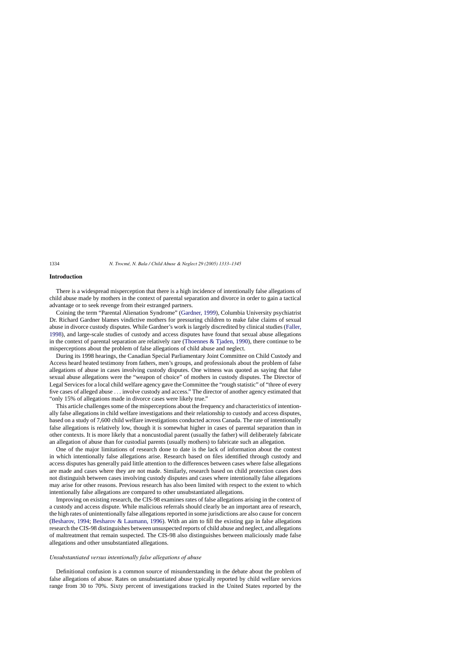# **Introduction**

There is a widespread misperception that there is a high incidence of intentionally false allegations of child abuse made by mothers in the context of parental separation and divorce in order to gain a tactical advantage or to seek revenge from their estranged partners.

Coining the term "Parental Alienation Syndrome" ([Gardner, 1999\),](#page-12-0) Columbia University psychiatrist Dr. Richard Gardner blames vindictive mothers for pressuring children to make false claims of sexual abuse in divorce custody disputes. While Gardner's work is largely discredited by clinical studies ([Faller,](#page-11-0) [1998\),](#page-11-0) and large-scale studies of custody and access disputes have found that sexual abuse allegations in the context of parental separation are relatively rare ([Thoennes & Tjaden, 1990\),](#page-12-0) there continue to be misperceptions about the problem of false allegations of child abuse and neglect.

During its 1998 hearings, the Canadian Special Parliamentary Joint Committee on Child Custody and Access heard heated testimony from fathers, men's groups, and professionals about the problem of false allegations of abuse in cases involving custody disputes. One witness was quoted as saying that false sexual abuse allegations were the "weapon of choice" of mothers in custody disputes. The Director of Legal Services for a local child welfare agency gave the Committee the "rough statistic" of "three of every five cases of alleged abuse ... involve custody and access." The director of another agency estimated that "only 15% of allegations made in divorce cases were likely true."

This article challenges some of the misperceptions about the frequency and characteristics of intentionally false allegations in child welfare investigations and their relationship to custody and access disputes, based on a study of 7,600 child welfare investigations conducted across Canada. The rate of intentionally false allegations is relatively low, though it is somewhat higher in cases of parental separation than in other contexts. It is more likely that a noncustodial parent (usually the father) will deliberately fabricate an allegation of abuse than for custodial parents (usually mothers) to fabricate such an allegation.

One of the major limitations of research done to date is the lack of information about the context in which intentionally false allegations arise. Research based on files identified through custody and access disputes has generally paid little attention to the differences between cases where false allegations are made and cases where they are not made. Similarly, research based on child protection cases does not distinguish between cases involving custody disputes and cases where intentionally false allegations may arise for other reasons. Previous research has also been limited with respect to the extent to which intentionally false allegations are compared to other unsubstantiated allegations.

Improving on existing research, the CIS-98 examines rates of false allegations arising in the context of a custody and access dispute. While malicious referrals should clearly be an important area of research, the high rates of unintentionally false allegations reported in some jurisdictions are also cause for concern ([Besharov, 1994;](#page-11-0) [Besharov & Laumann, 1996\).](#page-11-0) With an aim to fill the existing gap in false allegations research the CIS-98 distinguishes between unsuspected reports of child abuse and neglect, and allegations of maltreatment that remain suspected. The CIS-98 also distinguishes between maliciously made false allegations and other unsubstantiated allegations.

# *Unsubstantiated versus intentionally false allegations of abuse*

Definitional confusion is a common source of misunderstanding in the debate about the problem of false allegations of abuse. Rates on unsubstantiated abuse typically reported by child welfare services range from 30 to 70%. Sixty percent of investigations tracked in the United States reported by the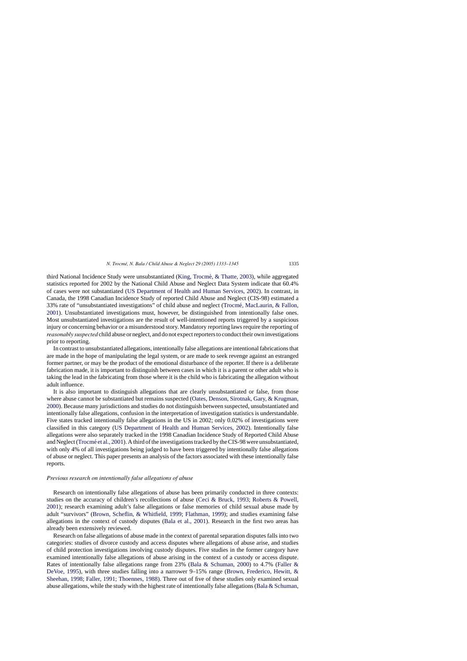third National Incidence Study were unsubstantiated (King, Trocmé,  $\&$  Thatte, 2003), while aggregated statistics reported for 2002 by the National Child Abuse and Neglect Data System indicate that 60.4% of cases were not substantiated ([US Department of Health and Human Services, 2002\).](#page-12-0) In contrast, in Canada, the 1998 Canadian Incidence Study of reported Child Abuse and Neglect (CIS-98) estimated a 33% rate of "unsubstantiated investigations" of child abuse and neglect [\(Trocme, MacLaurin, & Fallon,](#page-12-0) ´ [2001\).](#page-12-0) Unsubstantiated investigations must, however, be distinguished from intentionally false ones. Most unsubstantiated investigations are the result of well-intentioned reports triggered by a suspicious injury or concerning behavior or a misunderstood story. Mandatory reporting laws require the reporting of *reasonably suspected* child abuse or neglect, and do not expect reporters to conduct their own investigations prior to reporting.

In contrast to unsubstantiated allegations, intentionally false allegations are intentional fabrications that are made in the hope of manipulating the legal system, or are made to seek revenge against an estranged former partner, or may be the product of the emotional disturbance of the reporter. If there is a deliberate fabrication made, it is important to distinguish between cases in which it is a parent or other adult who is taking the lead in the fabricating from those where it is the child who is fabricating the allegation without adult influence.

It is also important to distinguish allegations that are clearly unsubstantiated or false, from those where abuse cannot be substantiated but remains suspected [\(Oates, Denson, Sirotnak, Gary, & Krugman,](#page-12-0) [2000\).](#page-12-0) Because many jurisdictions and studies do not distinguish between suspected, unsubstantiated and intentionally false allegations, confusion in the interpretation of investigation statistics is understandable. Five states tracked intentionally false allegations in the US in 2002; only 0.02% of investigations were classified in this category [\(US Department of Health and Human Services, 2002\).](#page-12-0) Intentionally false allegations were also separately tracked in the 1998 Canadian Incidence Study of Reported Child Abuse and Neglect (Trocmé et al., 2001). A third of the investigations tracked by the CIS-98 were unsubstantiated, with only 4% of all investigations being judged to have been triggered by intentionally false allegations of abuse or neglect. This paper presents an analysis of the factors associated with these intentionally false reports.

# *Previous research on intentionally false allegations of abuse*

Research on intentionally false allegations of abuse has been primarily conducted in three contexts: studies on the accuracy of children's recollections of abuse [\(Ceci & Bruck, 1993;](#page-11-0) [Roberts & Powell,](#page-12-0) [2001\);](#page-12-0) research examining adult's false allegations or false memories of child sexual abuse made by adult "survivors" [\(Brown, Scheflin, & Whitfield, 1999;](#page-11-0) [Flathman, 1999\);](#page-12-0) and studies examining false allegations in the context of custody disputes [\(Bala et al., 2001\).](#page-11-0) Research in the first two areas has already been extensively reviewed.

Research on false allegations of abuse made in the context of parental separation disputes falls into two categories: studies of divorce custody and access disputes where allegations of abuse arise, and studies of child protection investigations involving custody disputes. Five studies in the former category have examined intentionally false allegations of abuse arising in the context of a custody or access dispute. Rates of intentionally false allegations range from 23% [\(Bala & Schuman, 2000\)](#page-11-0) to 4.7% ([Faller &](#page-12-0) [DeVoe, 1995\),](#page-12-0) with three studies falling into a narrower 9–15% range ([Brown, Frederico, Hewitt, &](#page-11-0) [Sheehan, 1998;](#page-11-0) [Faller, 1991; Thoennes, 1988\).](#page-11-0) Three out of five of these studies only examined sexual abuse allegations, while the study with the highest rate of intentionally false allegations ([Bala & Schuman,](#page-11-0)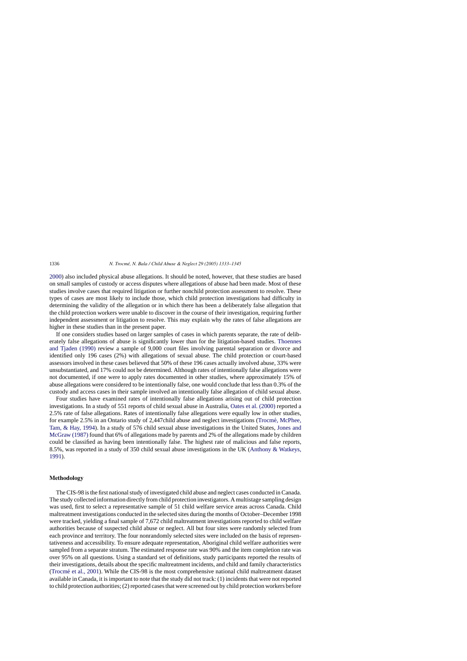[2000\)](#page-11-0) also included physical abuse allegations. It should be noted, however, that these studies are based on small samples of custody or access disputes where allegations of abuse had been made. Most of these studies involve cases that required litigation or further nonchild protection assessment to resolve. These types of cases are most likely to include those, which child protection investigations had difficulty in determining the validity of the allegation or in which there has been a deliberately false allegation that the child protection workers were unable to discover in the course of their investigation, requiring further independent assessment or litigation to resolve. This may explain why the rates of false allegations are higher in these studies than in the present paper.

If one considers studies based on larger samples of cases in which parents separate, the rate of deliberately false allegations of abuse is significantly lower than for the litigation-based studies. [Thoennes](#page-12-0) [and Tjaden \(1990\)](#page-12-0) review a sample of 9,000 court files involving parental separation or divorce and identified only 196 cases (2%) with allegations of sexual abuse. The child protection or court-based assessors involved in these cases believed that 50% of these 196 cases actually involved abuse, 33% were unsubstantiated, and 17% could not be determined. Although rates of intentionally false allegations were not documented, if one were to apply rates documented in other studies, where approximately 15% of abuse allegations were considered to be intentionally false, one would conclude that less than 0.3% of the custody and access cases in their sample involved an intentionally false allegation of child sexual abuse.

Four studies have examined rates of intentionally false allegations arising out of child protection investigations. In a study of 551 reports of child sexual abuse in Australia, [Oates et al. \(2000\)](#page-12-0) reported a 2.5% rate of false allegations. Rates of intentionally false allegations were equally low in other studies, for example 2.5% in an Ontario study of 2,447child abuse and neglect investigations (Trocmé, McPhee, [Tam, & Hay, 1994\).](#page-12-0) In a study of 576 child sexual abuse investigations in the United States, [Jones and](#page-12-0) [McGraw \(1987\)](#page-12-0) found that 6% of allegations made by parents and 2% of the allegations made by children could be classified as having been intentionally false. The highest rate of malicious and false reports, 8.5%, was reported in a study of 350 child sexual abuse investigations in the UK ([Anthony & Watkeys,](#page-11-0) [1991\).](#page-11-0)

# **Methodology**

The CIS-98 is the first national study of investigated child abuse and neglect cases conducted in Canada. The study collected information directly from child protection investigators. A multistage sampling design was used, first to select a representative sample of 51 child welfare service areas across Canada. Child maltreatment investigations conducted in the selected sites during the months of October–December 1998 were tracked, yielding a final sample of 7,672 child maltreatment investigations reported to child welfare authorities because of suspected child abuse or neglect. All but four sites were randomly selected from each province and territory. The four nonrandomly selected sites were included on the basis of representativeness and accessibility. To ensure adequate representation, Aboriginal child welfare authorities were sampled from a separate stratum. The estimated response rate was 90% and the item completion rate was over 95% on all questions. Using a standard set of definitions, study participants reported the results of their investigations, details about the specific maltreatment incidents, and child and family characteristics (Trocmé et al., 2001). While the CIS-98 is the most comprehensive national child maltreatment dataset available in Canada, it is important to note that the study did not track: (1) incidents that were not reported to child protection authorities; (2) reported cases that were screened out by child protection workers before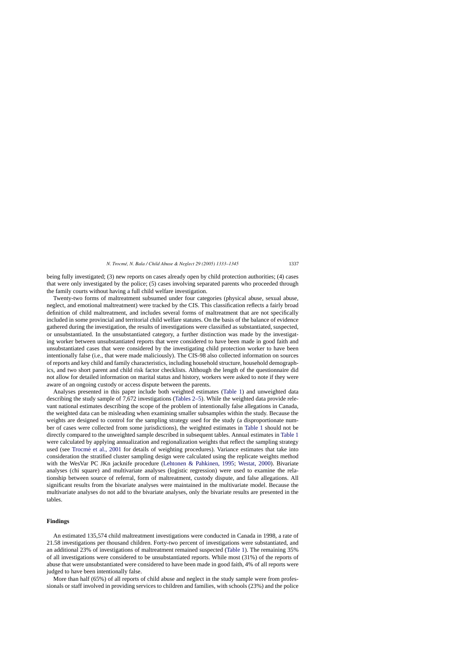being fully investigated; (3) new reports on cases already open by child protection authorities; (4) cases that were only investigated by the police; (5) cases involving separated parents who proceeded through the family courts without having a full child welfare investigation.

Twenty-two forms of maltreatment subsumed under four categories (physical abuse, sexual abuse, neglect, and emotional maltreatment) were tracked by the CIS. This classification reflects a fairly broad definition of child maltreatment, and includes several forms of maltreatment that are not specifically included in some provincial and territorial child welfare statutes. On the basis of the balance of evidence gathered during the investigation, the results of investigations were classified as substantiated, suspected, or unsubstantiated. In the unsubstantiated category, a further distinction was made by the investigating worker between unsubstantiated reports that were considered to have been made in good faith and unsubstantiated cases that were considered by the investigating child protection worker to have been intentionally false (i.e., that were made maliciously). The CIS-98 also collected information on sources of reports and key child and family characteristics, including household structure, household demographics, and two short parent and child risk factor checklists. Although the length of the questionnaire did not allow for detailed information on marital status and history, workers were asked to note if they were aware of an ongoing custody or access dispute between the parents.

Analyses presented in this paper include both weighted estimates ([Table 1\)](#page-5-0) and unweighted data describing the study sample of 7,672 investigations ([Tables 2–5\).](#page-6-0) While the weighted data provide relevant national estimates describing the scope of the problem of intentionally false allegations in Canada, the weighted data can be misleading when examining smaller subsamples within the study. Because the weights are designed to control for the sampling strategy used for the study (a disproportionate number of cases were collected from some jurisdictions), the weighted estimates in [Table 1](#page-5-0) should not be directly compared to the unweighted sample described in subsequent tables. Annual estimates in [Table 1](#page-5-0) were calculated by applying annualization and regionalization weights that reflect the sampling strategy used (see Trocmé et al., 2001 for details of weighting procedures). Variance estimates that take into consideration the stratified cluster sampling design were calculated using the replicate weights method with the WesVar PC JKn jacknife procedure ([Lehtonen & Pahkinen, 1995;](#page-12-0) [Westat, 2000\).](#page-12-0) Bivariate analyses (chi square) and multivariate analyses (logistic regression) were used to examine the relationship between source of referral, form of maltreatment, custody dispute, and false allegations. All significant results from the bivariate analyses were maintained in the multivariate model. Because the multivariate analyses do not add to the bivariate analyses, only the bivariate results are presented in the tables.

# **Findings**

An estimated 135,574 child maltreatment investigations were conducted in Canada in 1998, a rate of 21.58 investigations per thousand children. Forty-two percent of investigations were substantiated, and an additional 23% of investigations of maltreatment remained suspected [\(Table 1\).](#page-5-0) The remaining 35% of all investigations were considered to be unsubstantiated reports. While most (31%) of the reports of abuse that were unsubstantiated were considered to have been made in good faith, 4% of all reports were judged to have been intentionally false.

More than half (65%) of all reports of child abuse and neglect in the study sample were from professionals or staff involved in providing services to children and families, with schools (23%) and the police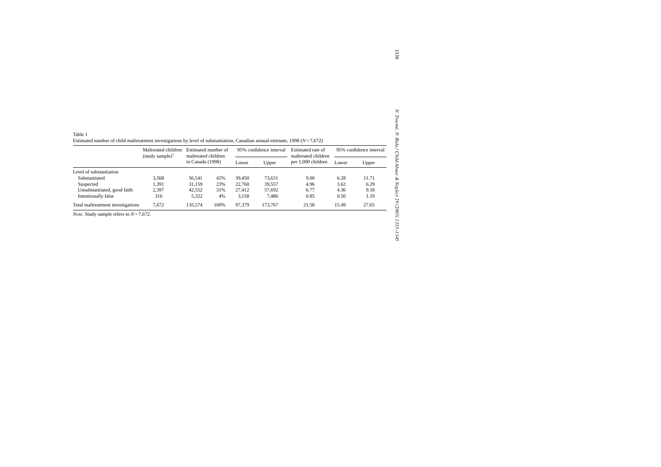<span id="page-5-0"></span>

|                                   | Maltreated children         | Estimated number of<br>maltreated children |      |        | 95% confidence interval | Estimated rate of                         | 95% confidence interval |       |
|-----------------------------------|-----------------------------|--------------------------------------------|------|--------|-------------------------|-------------------------------------------|-------------------------|-------|
|                                   | (study sample) <sup>*</sup> | in Canada (1998)                           |      | Lower  | Upper                   | maltreated children<br>per 1,000 children | Lower                   | Upper |
| Level of substantiation           |                             |                                            |      |        |                         |                                           |                         |       |
| Substantiated                     | 3,568                       | 56,541                                     | 42%  | 39,450 | 73,631                  | 9.00                                      | 6.28                    | 11.71 |
| Suspected                         | 1,391                       | 31,159                                     | 23%  | 22,760 | 39,557                  | 4.96                                      | 3.62                    | 6.29  |
| Unsubstantiated, good faith       | 2,397                       | 42,552                                     | 31%  | 27,412 | 57,692                  | 6.77                                      | 4.36                    | 9.18  |
| Intentionally false               | 316                         | 5,322                                      | 4%   | 3,158  | 7,486                   | 0.85                                      | 0.50                    | 1.19  |
| Total maltreatment investigations | 7,672                       | 135,574                                    | 100% | 97,379 | 173,767                 | 21.58                                     | 15.49                   | 27.65 |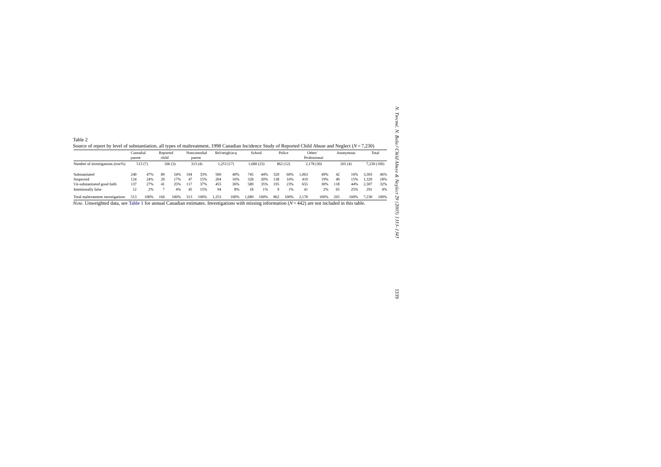<span id="page-6-0"></span>

|                                                    | Custodial<br>parent |           | Reported<br>child    |           |           | Noncustodial<br>parent | Rel/neigh/acq |           | School    |           |          | Police    | Other/<br>Professional |           |           | Anonymous  |              | Total       |
|----------------------------------------------------|---------------------|-----------|----------------------|-----------|-----------|------------------------|---------------|-----------|-----------|-----------|----------|-----------|------------------------|-----------|-----------|------------|--------------|-------------|
| Number of investigations (row%)                    |                     | 513(7)    |                      | 166(3)    |           | 313(4)                 | 1,253(17)     |           |           | 1,680(23) |          | 862 (12)  |                        | 2,178(30) |           | 265(4)     |              | 7,230 (100) |
| Substantiated                                      | 240                 | 47%       | 89                   | 54%       | 104       | 33%                    | 500           | 40%       | 745       | 44%       | 520      | 60%       | 1,063                  | 49%       | 42        | 16%        | 3,303        | 46%         |
| Suspected                                          | 124                 | 24%       | 29                   | 17%       | 47        | 15%                    | 204           | 16%       | 328       | 20%       | 138      | 16%       | 419                    | 19%       | 40        | 15%        | 1,329        | 18%         |
| Un-substantiated good faith<br>Intentionally false | 137<br>12           | 27%<br>2% | 41<br>$\overline{7}$ | 25%<br>4% | 117<br>45 | 37%<br>15%             | 455<br>94     | 36%<br>8% | 589<br>18 | 35%<br>1% | 195<br>9 | 23%<br>1% | 655<br>41              | 30%<br>2% | 118<br>65 | 44%<br>25% | 2,307<br>291 | 32%<br>4%   |
| Total maltreatment investigations                  | 513                 | 100%      | 166                  | 100%      | 313       | 100%                   | 1,253         | 100%      | 1,680     | 100%      | 862      | 100%      | 2,178                  | 100%      | 265       | 100%       | 7,230        | 100%        |
|                                                    |                     |           |                      |           |           |                        |               |           |           |           |          |           |                        |           |           |            |              |             |
|                                                    |                     |           |                      |           |           |                        |               |           |           |           |          |           |                        |           |           |            |              |             |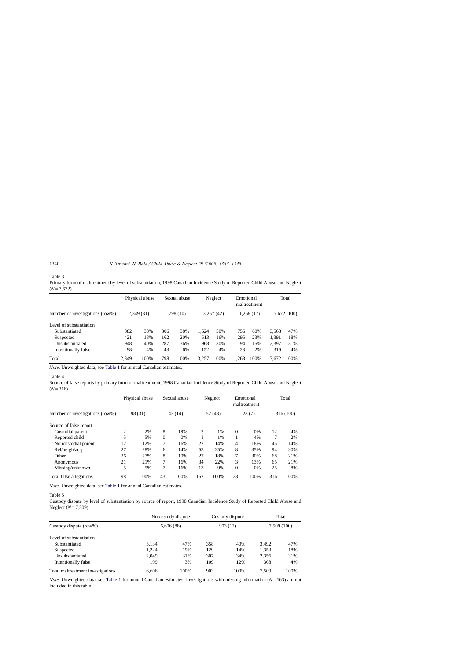<span id="page-7-0"></span>Table 3

|             | Primary form of maltreatment by level of substantiation, 1998 Canadian Incidence Study of Reported Child Abuse and Neglect |  |  |  |
|-------------|----------------------------------------------------------------------------------------------------------------------------|--|--|--|
| $(N=7,672)$ |                                                                                                                            |  |  |  |

|                                 | Physical abuse<br>2,349(31) |      | Sexual abuse<br>798 (10) |      | Neglect<br>3,257(42) |      | Emotional<br>maltreatment<br>1,268(17) |      | Total<br>7,672 (100) |      |
|---------------------------------|-----------------------------|------|--------------------------|------|----------------------|------|----------------------------------------|------|----------------------|------|
| Number of investigations (row%) |                             |      |                          |      |                      |      |                                        |      |                      |      |
| Level of substantiation         |                             |      |                          |      |                      |      |                                        |      |                      |      |
| Substantiated                   | 882                         | 38%  | 306                      | 38%  | 1.624                | 50%  | 756                                    | 60%  | 3,568                | 47%  |
| Suspected                       | 421                         | 18%  | 162                      | 20%  | 513                  | 16%  | 295                                    | 23%  | 1,391                | 18%  |
| Unsubstantiated                 | 948                         | 40%  | 287                      | 36%  | 968                  | 30%  | 194                                    | 15%  | 2,397                | 31%  |
| Intentionally false             | 98                          | 4%   | 43                       | 6%   | 152                  | 4%   | 23                                     | 2%   | 316                  | 4%   |
| Total                           | 2.349                       | 100% | 798                      | 100% | 3.257                | 100% | 1.268                                  | 100% | 7.672                | 100% |

*Note*. Unweighted data, see [Table 1](#page-5-0) for annual Canadian estimates.

#### Table 4

Source of false reports by primary form of maltreatment, 1998 Canadian Incidence Study of Reported Child Abuse and Neglect (*N*= 316)

|                                 | Physical abuse<br>98 (31) |      | Sexual abuse<br>43(14) |      |          | Neglect |                | Emotional<br>maltreatment |          | Total |  |
|---------------------------------|---------------------------|------|------------------------|------|----------|---------|----------------|---------------------------|----------|-------|--|
| Number of investigations (row%) |                           |      |                        |      | 152 (48) |         | 23(7)          |                           | 316(100) |       |  |
| Source of false report          |                           |      |                        |      |          |         |                |                           |          |       |  |
| Custodial parent                | 2                         | 2%   | 8                      | 19%  | 2        | 1%      | $\overline{0}$ | $0\%$                     | 12       | 4%    |  |
| Reported child                  | 5                         | 5%   | $\theta$               | 0%   |          | 1%      |                | 4%                        |          | 2%    |  |
| Noncustodial parent             | 12                        | 12%  | 7                      | 16%  | 22       | 14%     | 4              | 18%                       | 45       | 14%   |  |
| Rel/neigh/acq                   | 27                        | 28%  | 6                      | 14%  | 53       | 35%     | 8              | 35%                       | 94       | 30%   |  |
| Other                           | 26                        | 27%  | 8                      | 19%  | 27       | 18%     | 7              | 30%                       | 68       | 21%   |  |
| Anonymous                       | 21                        | 21%  | 7                      | 16%  | 34       | 22%     | 3              | 13%                       | 65       | 21%   |  |
| Missing/unknown                 | 5                         | 5%   | 7                      | 16%  | 13       | 9%      | $\theta$       | 0%                        | 25       | 8%    |  |
| Total false allegations         | 98                        | 100% | 43                     | 100% | 152      | 100%    | 23             | 100%                      | 316      | 100%  |  |

*Note*. Unweighted data, see [Table 1](#page-5-0) for annual Canadian estimates.

#### Table 5

Custody dispute by level of substantiation by source of report, 1998 Canadian Incidence Study of Reported Child Abuse and Neglect (*N*= 7,509)

|                                   |       | No custody dispute |     | Custody dispute | Total       |      |  |
|-----------------------------------|-------|--------------------|-----|-----------------|-------------|------|--|
| Custody dispute (row%)            |       | 6,606(88)          |     | 903(12)         | 7,509 (100) |      |  |
| Level of substantiation           |       |                    |     |                 |             |      |  |
| Substantiated                     | 3.134 | 47%                | 358 | 40%             | 3.492       | 47%  |  |
| Suspected                         | 1.224 | 19%                | 129 | 14%             | 1,353       | 18%  |  |
| Unsubstantiated                   | 2.049 | 31%                | 307 | 34%             | 2,356       | 31%  |  |
| Intentionally false               | 199   | 3%                 | 109 | 12%             | 308         | 4%   |  |
| Total maltreatment investigations | 6.606 | 100%               | 903 | 100%            | 7.509       | 100% |  |

*Note.* Unweighted data, see [Table 1](#page-5-0) for annual Canadian estimates. Investigations with missing information  $(N = 163)$  are not included in this table.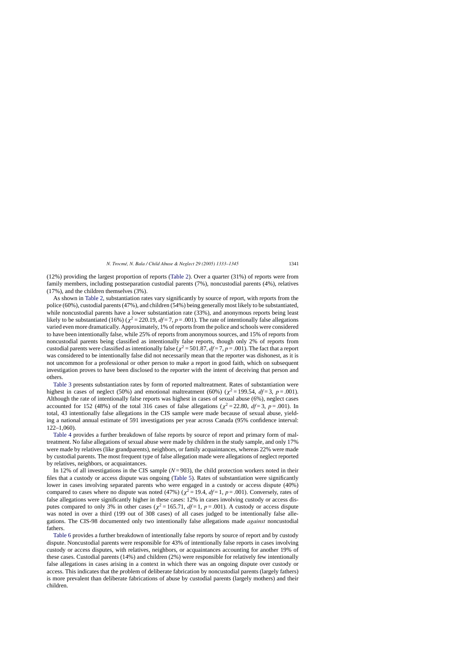(12%) providing the largest proportion of reports ([Table 2\).](#page-6-0) Over a quarter (31%) of reports were from family members, including postseparation custodial parents (7%), noncustodial parents (4%), relatives (17%), and the children themselves (3%).

As shown in [Table 2,](#page-6-0) substantiation rates vary significantly by source of report, with reports from the police (60%), custodial parents (47%), and children (54%) being generally most likely to be substantiated, while noncustodial parents have a lower substantiation rate (33%), and anonymous reports being least likely to be substantiated (16%) ( $\chi^2$  = 220.19, *df* = 7, *p* = .001). The rate of intentionally false allegations varied even more dramatically. Approximately, 1% of reports from the police and schools were considered to have been intentionally false, while 25% of reports from anonymous sources, and 15% of reports from noncustodial parents being classified as intentionally false reports, though only 2% of reports from custodial parents were classified as intentionally false ( $\chi^2$  = 501.87, *df* = 7, *p* = .001). The fact that a report was considered to be intentionally false did not necessarily mean that the reporter was dishonest, as it is not uncommon for a professional or other person to make a report in good faith, which on subsequent investigation proves to have been disclosed to the reporter with the intent of deceiving that person and others.

[Table 3](#page-7-0) presents substantiation rates by form of reported maltreatment. Rates of substantiation were highest in cases of neglect (50%) and emotional maltreatment (60%) ( $\chi^2$  = 199.54, *df* = 3, *p* = .001). Although the rate of intentionally false reports was highest in cases of sexual abuse (6%), neglect cases accounted for 152 (48%) of the total 316 cases of false allegations ( $\chi^2$  = 22.80, *df* = 3, *p* = .001). In total, 43 intentionally false allegations in the CIS sample were made because of sexual abuse, yielding a national annual estimate of 591 investigations per year across Canada (95% confidence interval: 122–1,060).

[Table 4](#page-7-0) provides a further breakdown of false reports by source of report and primary form of maltreatment. No false allegations of sexual abuse were made by children in the study sample, and only 17% were made by relatives (like grandparents), neighbors, or family acquaintances, whereas 22% were made by custodial parents. The most frequent type of false allegation made were allegations of neglect reported by relatives, neighbors, or acquaintances.

In 12% of all investigations in the CIS sample  $(N=903)$ , the child protection workers noted in their files that a custody or access dispute was ongoing ([Table 5\).](#page-7-0) Rates of substantiation were significantly lower in cases involving separated parents who were engaged in a custody or access dispute (40%) compared to cases where no dispute was noted (47%) ( $\chi^2$  = 19.4, *df* = 1, *p* = .001). Conversely, rates of false allegations were significantly higher in these cases: 12% in cases involving custody or access disputes compared to only 3% in other cases ( $\chi^2 = 165.71$ ,  $df = 1$ ,  $p = .001$ ). A custody or access dispute was noted in over a third (199 out of 308 cases) of all cases judged to be intentionally false allegations. The CIS-98 documented only two intentionally false allegations made *against* noncustodial fathers.

[Table 6](#page-9-0) provides a further breakdown of intentionally false reports by source of report and by custody dispute. Noncustodial parents were responsible for 43% of intentionally false reports in cases involving custody or access disputes, with relatives, neighbors, or acquaintances accounting for another 19% of these cases. Custodial parents (14%) and children (2%) were responsible for relatively few intentionally false allegations in cases arising in a context in which there was an ongoing dispute over custody or access. This indicates that the problem of deliberate fabrication by noncustodial parents (largely fathers) is more prevalent than deliberate fabrications of abuse by custodial parents (largely mothers) and their children.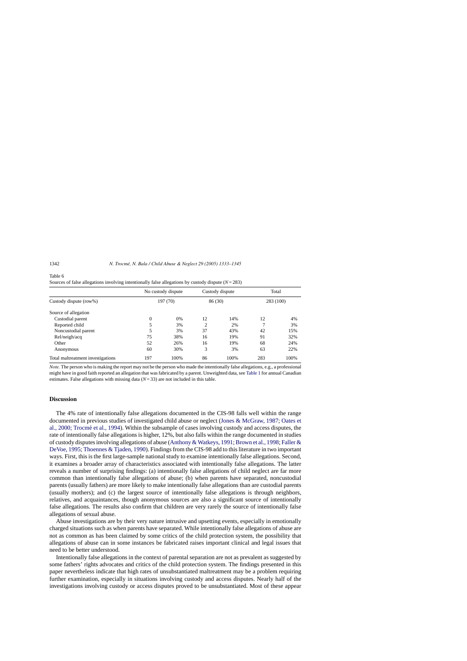|                                   |     | No custody dispute |        | Custody dispute | Total |           |  |
|-----------------------------------|-----|--------------------|--------|-----------------|-------|-----------|--|
| Custody dispute (row%)            |     | 197 (70)           | 86(30) |                 |       | 283 (100) |  |
| Source of allegation              |     |                    |        |                 |       |           |  |
| Custodial parent                  | 0   | 0%                 | 12     | 14%             | 12    | 4%        |  |
| Reported child                    | 5   | 3%                 | 2      | 2%              | 7     | 3%        |  |
| Noncustodial parent               | 5   | 3%                 | 37     | 43%             | 42    | 15%       |  |
| Rel/neigh/acq                     | 75  | 38%                | 16     | 19%             | 91    | 32%       |  |
| Other                             | 52  | 26%                | 16     | 19%             | 68    | 24%       |  |
| Anonymous                         | 60  | 30%                | 3      | 3%              | 63    | 22%       |  |
| Total maltreatment investigations | 197 | 100%               | 86     | 100%            | 283   | 100%      |  |

<span id="page-9-0"></span>Table 6

Sources of false allegations involving intentionally false allegations by custody dispute (*N*= 283)

*Note.* The person who is making the report may not be the person who made the intentionally false allegations, e.g., a professional might have in good faith reported an allegation that was fabricated by a parent. Unweighted data, see [Table 1](#page-5-0) for annual Canadian estimates. False allegations with missing data  $(N=33)$  are not included in this table.

# **Discussion**

The 4% rate of intentionally false allegations documented in the CIS-98 falls well within the range documented in previous studies of investigated child abuse or neglect [\(Jones & McGraw, 1987;](#page-12-0) [Oates et](#page-12-0) al., 2000; Trocmé et al., 1994). Within the subsample of cases involving custody and access disputes, the rate of intentionally false allegations is higher, 12%, but also falls within the range documented in studies of custody disputes involving allegations of abuse (Anthony & Watkeys, 1991; Brown et al., 1998; [Faller &](#page-12-0) [DeVoe, 1995;](#page-12-0) [Thoennes & Tjaden, 1990\).](#page-12-0) Findings from the CIS-98 add to this literature in two important ways. First, this is the first large-sample national study to examine intentionally false allegations. Second, it examines a broader array of characteristics associated with intentionally false allegations. The latter reveals a number of surprising findings: (a) intentionally false allegations of child neglect are far more common than intentionally false allegations of abuse; (b) when parents have separated, noncustodial parents (usually fathers) are more likely to make intentionally false allegations than are custodial parents (usually mothers); and (c) the largest source of intentionally false allegations is through neighbors, relatives, and acquaintances, though anonymous sources are also a significant source of intentionally false allegations. The results also confirm that children are very rarely the source of intentionally false allegations of sexual abuse.

Abuse investigations are by their very nature intrusive and upsetting events, especially in emotionally charged situations such as when parents have separated. While intentionally false allegations of abuse are not as common as has been claimed by some critics of the child protection system, the possibility that allegations of abuse can in some instances be fabricated raises important clinical and legal issues that need to be better understood.

Intentionally false allegations in the context of parental separation are not as prevalent as suggested by some fathers' rights advocates and critics of the child protection system. The findings presented in this paper nevertheless indicate that high rates of unsubstantiated maltreatment may be a problem requiring further examination, especially in situations involving custody and access disputes. Nearly half of the investigations involving custody or access disputes proved to be unsubstantiated. Most of these appear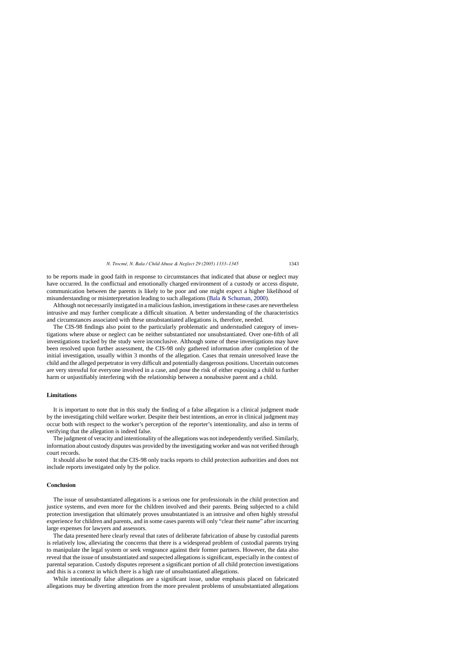to be reports made in good faith in response to circumstances that indicated that abuse or neglect may have occurred. In the conflictual and emotionally charged environment of a custody or access dispute, communication between the parents is likely to be poor and one might expect a higher likelihood of misunderstanding or misinterpretation leading to such allegations [\(Bala & Schuman, 2000\).](#page-11-0)

Although not necessarily instigated in a malicious fashion, investigations in these cases are nevertheless intrusive and may further complicate a difficult situation. A better understanding of the characteristics and circumstances associated with these unsubstantiated allegations is, therefore, needed.

The CIS-98 findings also point to the particularly problematic and understudied category of investigations where abuse or neglect can be neither substantiated nor unsubstantiated. Over one-fifth of all investigations tracked by the study were inconclusive. Although some of these investigations may have been resolved upon further assessment, the CIS-98 only gathered information after completion of the initial investigation, usually within 3 months of the allegation. Cases that remain unresolved leave the child and the alleged perpetrator in very difficult and potentially dangerous positions. Uncertain outcomes are very stressful for everyone involved in a case, and pose the risk of either exposing a child to further harm or unjustifiably interfering with the relationship between a nonabusive parent and a child.

# **Limitations**

It is important to note that in this study the finding of a false allegation is a clinical judgment made by the investigating child welfare worker. Despite their best intentions, an error in clinical judgment may occur both with respect to the worker's perception of the reporter's intentionality, and also in terms of verifying that the allegation is indeed false.

The judgment of veracity and intentionality of the allegations was not independently verified. Similarly, information about custody disputes was provided by the investigating worker and was not verified through court records.

It should also be noted that the CIS-98 only tracks reports to child protection authorities and does not include reports investigated only by the police.

# **Conclusion**

The issue of unsubstantiated allegations is a serious one for professionals in the child protection and justice systems, and even more for the children involved and their parents. Being subjected to a child protection investigation that ultimately proves unsubstantiated is an intrusive and often highly stressful experience for children and parents, and in some cases parents will only "clear their name" after incurring large expenses for lawyers and assessors.

The data presented here clearly reveal that rates of deliberate fabrication of abuse by custodial parents is relatively low, alleviating the concerns that there is a widespread problem of custodial parents trying to manipulate the legal system or seek vengeance against their former partners. However, the data also reveal that the issue of unsubstantiated and suspected allegations is significant, especially in the context of parental separation. Custody disputes represent a significant portion of all child protection investigations and this is a context in which there is a high rate of unsubstantiated allegations.

While intentionally false allegations are a significant issue, undue emphasis placed on fabricated allegations may be diverting attention from the more prevalent problems of unsubstantiated allegations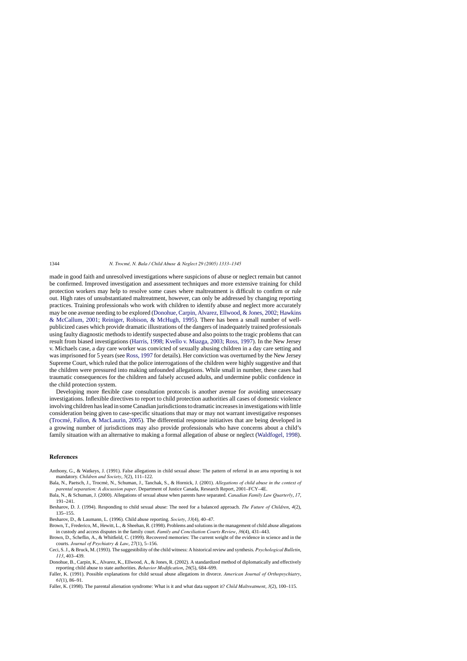<span id="page-11-0"></span>made in good faith and unresolved investigations where suspicions of abuse or neglect remain but cannot be confirmed. Improved investigation and assessment techniques and more extensive training for child protection workers may help to resolve some cases where maltreatment is difficult to confirm or rule out. High rates of unsubstantiated maltreatment, however, can only be addressed by changing reporting practices. Training professionals who work with children to identify abuse and neglect more accurately may be one avenue needing to be explored (Donohue, Carpin, Alvarez, Ellwood, & Jones, 2002; [Hawkins](#page-12-0) [& McCallum, 2001;](#page-12-0) [Reiniger, Robison, & McHugh, 1995\).](#page-12-0) There has been a small number of wellpublicized cases which provide dramatic illustrations of the dangers of inadequately trained professionals using faulty diagnostic methods to identify suspected abuse and also points to the tragic problems that can result from biased investigations ([Harris, 1998;](#page-12-0) [Kvello v. Miazga, 2003;](#page-12-0) [Ross, 1997\).](#page-12-0) In the New Jersey v. Michaels case, a day care worker was convicted of sexually abusing children in a day care setting and was imprisoned for 5 years (see [Ross, 1997](#page-12-0) for details). Her conviction was overturned by the New Jersey Supreme Court, which ruled that the police interrogations of the children were highly suggestive and that the children were pressured into making unfounded allegations. While small in number, these cases had traumatic consequences for the children and falsely accused adults, and undermine public confidence in the child protection system.

Developing more flexible case consultation protocols is another avenue for avoiding unnecessary investigations. Inflexible directives to report to child protection authorities all cases of domestic violence involving children has lead in some Canadian jurisdictions to dramatic increases in investigations with little consideration being given to case-specific situations that may or may not warrant investigative responses (Trocmé, Fallon,  $\&$  MacLaurin, 2005). The differential response initiatives that are being developed in a growing number of jurisdictions may also provide professionals who have concerns about a child's family situation with an alternative to making a formal allegation of abuse or neglect [\(Waldfogel, 1998\).](#page-12-0)

# **References**

- Anthony, G., & Watkeys, J. (1991). False allegations in child sexual abuse: The pattern of referral in an area reporting is not mandatory. *Children and Society*, *5*(2), 111–122.
- Bala, N., Paetsch, J., Trocmé, N., Schuman, J., Tanchak, S., & Hornick, J. (2001). *Allegations of child abuse in the context of parental separation: A discussion paper*. Department of Justice Canada, Research Report, 2001–FCY–4E.
- Bala, N., & Schuman, J. (2000). Allegations of sexual abuse when parents have separated. *Canadian Family Law Quarterly*, *17*, 191–241.
- Besharov, D. J. (1994). Responding to child sexual abuse: The need for a balanced approach. *The Future of Children*, *4*(2), 135–155.
- Besharov, D., & Laumann, L. (1996). Child abuse reporting. *Society*, *33*(4), 40–47.
- Brown, T., Frederico, M., Hewitt, L., & Sheehan, R. (1998). Problems and solutions in the management of child abuse allegations in custody and access disputes in the family court. *Family and Conciliation Courts Review*, *36*(4), 431–443.
- Brown, D., Scheflin, A., & Whitfield, C. (1999). Recovered memories: The current weight of the evidence in science and in the courts. *Journal of Psychiatry & Law*, *27*(1), 5–156.
- Ceci, S. J., & Bruck, M. (1993). The suggestibility of the child witness: A historical review and synthesis. *Psychological Bulletin*, *113*, 403–439.
- Donohue, B., Carpin, K., Alvarez, K., Ellwood, A., & Jones, R. (2002). A standardized method of diplomatically and effectively reporting child abuse to state authorities. *Behavior Modification*, *26*(5), 684–699.
- Faller, K. (1991). Possible explanations for child sexual abuse allegations in divorce. *American Journal of Orthopsychiatry*, *61*(1), 86–91.
- Faller, K. (1998). The parental alienation syndrome: What is it and what data support it? *Child Maltreatment*, *3*(2), 100–115.